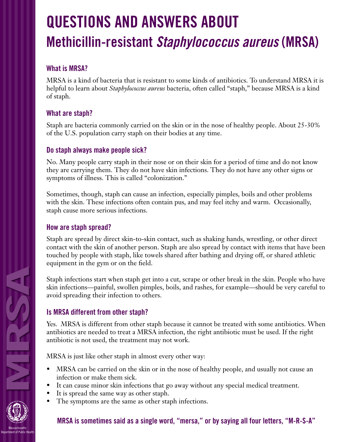# **QUESTIONS AND ANSWERS ABOUT Methicillin-resistant Staphylococcus aureus (MRSA)**

### **What is MRSA?**

MRSA is a kind of bacteria that is resistant to some kinds of antibiotics. To understand MRSA it is helpful to learn about *Staphylococcus aureus* bacteria, often called "staph," because MRSA is a kind of staph.

## **What are staph?**

Staph are bacteria commonly carried on the skin or in the nose of healthy people. About 25-30% of the U.S. population carry staph on their bodies at any time.

#### **Do staph always make people sick?**

No. Many people carry staph in their nose or on their skin for a period of time and do not know they are carrying them. They do not have skin infections. They do not have any other signs or symptoms of illness. This is called "colonization."

Sometimes, though, staph can cause an infection, especially pimples, boils and other problems with the skin. These infections often contain pus, and may feel itchy and warm. Occasionally, staph cause more serious infections.

#### **How are staph spread?**

Staph are spread by direct skin-to-skin contact, such as shaking hands, wrestling, or other direct contact with the skin of another person. Staph are also spread by contact with items that have been touched by people with staph, like towels shared after bathing and drying off, or shared athletic equipment in the gym or on the field.

Staph infections start when staph get into a cut, scrape or other break in the skin. People who have skin infections—painful, swollen pimples, boils, and rashes, for example—should be very careful to avoid spreading their infection to others.

#### **Is MRSA different from other staph?**

Yes. MRSA is different from other staph because it cannot be treated with some antibiotics. When antibiotics are needed to treat a MRSA infection, the right antibiotic must be used. If the right antibiotic is not used, the treatment may not work.

MRSA is just like other staph in almost every other way:

- MRSA can be carried on the skin or in the nose of healthy people, and usually not cause an infection or make them sick.
- It can cause minor skin infections that go away without any special medical treatment.
- It is spread the same way as other staph.
- The symptoms are the same as other staph infections.

#### **MRSA is sometimes said as a single word, "mersa," or by saying all four letters, "M-R-S-A"**

**MRSA**

NH RASH